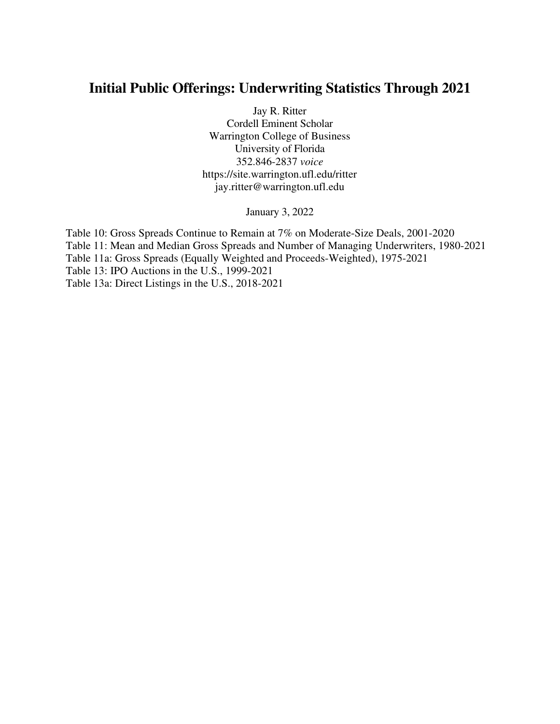# **Initial Public Offerings: Underwriting Statistics Through 2021**

Jay R. Ritter Cordell Eminent Scholar Warrington College of Business University of Florida 352.846-2837 *voice* https://site.warrington.ufl.edu/ritter jay.ritter@warrington.ufl.edu

January 3, 2022

Table 10: Gross Spreads Continue to Remain at 7% on Moderate-Size Deals, 2001-2020 Table 11: Mean and Median Gross Spreads and Number of Managing Underwriters, 1980-2021 Table 11a: Gross Spreads (Equally Weighted and Proceeds-Weighted), 1975-2021 Table 13: IPO Auctions in the U.S., 1999-2021 Table 13a: Direct Listings in the U.S., 2018-2021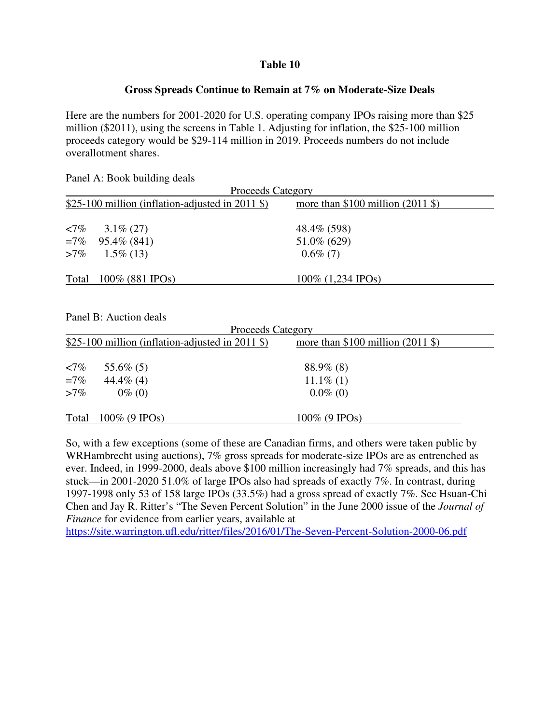#### **Table 10**

#### **Gross Spreads Continue to Remain at 7% on Moderate-Size Deals**

Here are the numbers for 2001-2020 for U.S. operating company IPOs raising more than \$25 million (\$2011), using the screens in Table 1. Adjusting for inflation, the \$25-100 million proceeds category would be \$29-114 million in 2019. Proceeds numbers do not include overallotment shares.

Panel A: Book building deals

| \$25-100 million (inflation-adjusted in 2011 \$) | more than $$100$ million (2011 \$) |                          |
|--------------------------------------------------|------------------------------------|--------------------------|
|                                                  |                                    |                          |
| $3.1\%$ (27)                                     | 48.4\% (598)                       |                          |
| $=7\%$ 95.4\% (841)                              | 51.0\% (629)                       |                          |
| $>7\%$ 1.5\% (13)                                | $0.6\%$ (7)                        |                          |
| Total $100\%$ (881 IPOs)                         | $100\%$ (1,234 IPOs)               |                          |
|                                                  |                                    | <b>Proceeds Category</b> |

Panel B: Auction deals

|               |                                                  | <b>Proceeds Category</b>           |  |
|---------------|--------------------------------------------------|------------------------------------|--|
|               | \$25-100 million (inflation-adjusted in 2011 \$) | more than $$100$ million (2011 \$) |  |
|               |                                                  |                                    |  |
| $\langle 7\%$ | 55.6\% $(5)$                                     | $88.9\%$ (8)                       |  |
| $=7\%$        | 44.4\% $(4)$                                     | $11.1\%$ (1)                       |  |
| $>7\%$        | $0\%$ (0)                                        | $0.0\%$ (0)                        |  |
| Total         | $100\%$ (9 IPOs)                                 | $100\%$ (9 IPOs)                   |  |

So, with a few exceptions (some of these are Canadian firms, and others were taken public by WRHambrecht using auctions), 7% gross spreads for moderate-size IPOs are as entrenched as ever. Indeed, in 1999-2000, deals above \$100 million increasingly had 7% spreads, and this has stuck—in 2001-2020 51.0% of large IPOs also had spreads of exactly 7%. In contrast, during 1997-1998 only 53 of 158 large IPOs (33.5%) had a gross spread of exactly 7%. See Hsuan-Chi Chen and Jay R. Ritter's "The Seven Percent Solution" in the June 2000 issue of the *Journal of Finance* for evidence from earlier years, available at

https://site.warrington.ufl.edu/ritter/files/2016/01/The-Seven-Percent-Solution-2000-06.pdf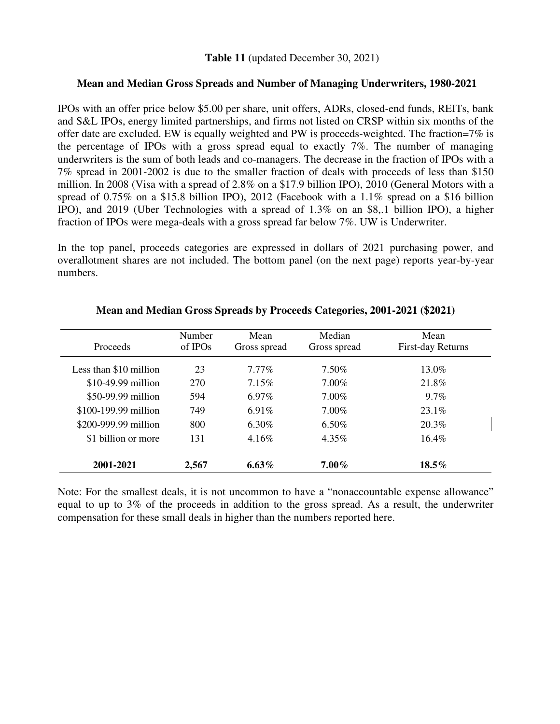#### **Table 11** (updated December 30, 2021)

#### **Mean and Median Gross Spreads and Number of Managing Underwriters, 1980-2021**

IPOs with an offer price below \$5.00 per share, unit offers, ADRs, closed-end funds, REITs, bank and S&L IPOs, energy limited partnerships, and firms not listed on CRSP within six months of the offer date are excluded. EW is equally weighted and PW is proceeds-weighted. The fraction=7% is the percentage of IPOs with a gross spread equal to exactly 7%. The number of managing underwriters is the sum of both leads and co-managers. The decrease in the fraction of IPOs with a 7% spread in 2001-2002 is due to the smaller fraction of deals with proceeds of less than \$150 million. In 2008 (Visa with a spread of 2.8% on a \$17.9 billion IPO), 2010 (General Motors with a spread of 0.75% on a \$15.8 billion IPO), 2012 (Facebook with a 1.1% spread on a \$16 billion IPO), and 2019 (Uber Technologies with a spread of 1.3% on an \$8,.1 billion IPO), a higher fraction of IPOs were mega-deals with a gross spread far below 7%. UW is Underwriter.

In the top panel, proceeds categories are expressed in dollars of 2021 purchasing power, and overallotment shares are not included. The bottom panel (on the next page) reports year-by-year numbers.

| <b>Proceeds</b>        | Number<br>of IPOs | Mean<br>Gross spread | Median<br>Gross spread | Mean<br>First-day Returns |
|------------------------|-------------------|----------------------|------------------------|---------------------------|
| Less than \$10 million | 23                | $7.77\%$             | 7.50%                  | $13.0\%$                  |
| \$10-49.99 million     | 270               | $7.15\%$             | 7.00%                  | 21.8%                     |
| \$50-99.99 million     | 594               | $6.97\%$             | $7.00\%$               | $9.7\%$                   |
| \$100-199.99 million   | 749               | 6.91%                | $7.00\%$               | $23.1\%$                  |
| \$200-999.99 million   | 800               | 6.30%                | $6.50\%$               | 20.3%                     |
| \$1 billion or more    | 131               | $4.16\%$             | $4.35\%$               | $16.4\%$                  |
| 2001-2021              | 2,567             | 6.63%                | $7.00\%$               | $18.5\%$                  |

#### **Mean and Median Gross Spreads by Proceeds Categories, 2001-2021 (\$2021)**

Note: For the smallest deals, it is not uncommon to have a "nonaccountable expense allowance" equal to up to 3% of the proceeds in addition to the gross spread. As a result, the underwriter compensation for these small deals in higher than the numbers reported here.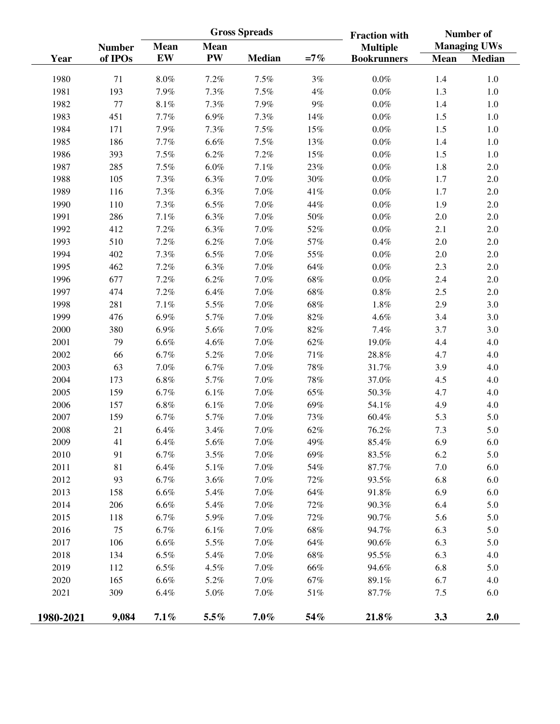|           |               |             |             | <b>Gross Spreads</b> |        | <b>Fraction with</b> |             | Number of           |  |
|-----------|---------------|-------------|-------------|----------------------|--------|----------------------|-------------|---------------------|--|
|           | <b>Number</b> | <b>Mean</b> | <b>Mean</b> |                      |        | <b>Multiple</b>      |             | <b>Managing UWs</b> |  |
| Year      | of IPOs       | <b>EW</b>   | <b>PW</b>   | <b>Median</b>        | $=7%$  | <b>Bookrunners</b>   | <b>Mean</b> | <b>Median</b>       |  |
| 1980      | 71            | $8.0\%$     | 7.2%        | 7.5%                 | $3\%$  | $0.0\%$              | 1.4         | $1.0\,$             |  |
| 1981      | 193           | 7.9%        | $7.3\%$     | 7.5%                 | $4\%$  | $0.0\%$              | 1.3         | $1.0\,$             |  |
| 1982      | 77            | $8.1\%$     | 7.3%        | 7.9%                 | $9\%$  | $0.0\%$              | 1.4         | $1.0\,$             |  |
| 1983      | 451           | 7.7%        | 6.9%        | 7.3%                 | 14%    | $0.0\%$              | 1.5         | $1.0\,$             |  |
| 1984      | 171           | 7.9%        | 7.3%        | 7.5%                 | 15%    | $0.0\%$              | 1.5         | $1.0\,$             |  |
| 1985      | 186           | 7.7%        | $6.6\%$     | $7.5\%$              | 13%    | $0.0\%$              | 1.4         | $1.0\,$             |  |
| 1986      | 393           | 7.5%        | 6.2%        | 7.2%                 | 15%    | $0.0\%$              | 1.5         | $1.0\,$             |  |
| 1987      | 285           | $7.5\%$     | $6.0\%$     | $7.1\%$              | $23\%$ | $0.0\%$              | 1.8         | $2.0\,$             |  |
| 1988      | 105           | 7.3%        | $6.3\%$     | $7.0\%$              | $30\%$ | $0.0\%$              | 1.7         | $2.0\,$             |  |
| 1989      | 116           | 7.3%        | 6.3%        | $7.0\%$              | $41\%$ | $0.0\%$              | 1.7         | $2.0\,$             |  |
| 1990      | 110           | 7.3%        | $6.5\%$     | $7.0\%$              | 44%    | $0.0\%$              | 1.9         | 2.0                 |  |
| 1991      | 286           | $7.1\%$     | 6.3%        | $7.0\%$              | $50\%$ | $0.0\%$              | 2.0         | 2.0                 |  |
| 1992      | 412           | 7.2%        | $6.3\%$     | $7.0\%$              | 52%    | $0.0\%$              | 2.1         | 2.0                 |  |
| 1993      | 510           | 7.2%        | 6.2%        | $7.0\%$              | 57%    | $0.4\%$              | 2.0         | $2.0\,$             |  |
| 1994      | 402           | 7.3%        | $6.5\%$     | $7.0\%$              | 55%    | $0.0\%$              | 2.0         | $2.0\,$             |  |
| 1995      | 462           | 7.2%        | $6.3\%$     | $7.0\%$              | 64%    | $0.0\%$              | 2.3         | 2.0                 |  |
| 1996      | 677           | 7.2%        | 6.2%        | $7.0\%$              | $68\%$ | $0.0\%$              | 2.4         | $2.0\,$             |  |
| 1997      | 474           | 7.2%        | 6.4%        | $7.0\%$              | $68\%$ | $0.8\%$              | 2.5         | $2.0\,$             |  |
| 1998      | 281           | $7.1\%$     | 5.5%        | $7.0\%$              | $68\%$ | $1.8\%$              | 2.9         | 3.0                 |  |
| 1999      | 476           | $6.9\%$     | 5.7%        | $7.0\%$              | $82\%$ | $4.6\%$              | 3.4         | 3.0                 |  |
| 2000      | 380           | $6.9\%$     | 5.6%        | $7.0\%$              | $82\%$ | 7.4%                 | 3.7         | 3.0                 |  |
| 2001      | 79            | $6.6\%$     | 4.6%        | $7.0\%$              | $62\%$ | 19.0%                | 4.4         | 4.0                 |  |
| 2002      | 66            | 6.7%        | $5.2\%$     | $7.0\%$              | $71\%$ | 28.8%                | 4.7         | 4.0                 |  |
| 2003      | 63            | $7.0\%$     | 6.7%        | $7.0\%$              | $78\%$ | 31.7%                | 3.9         | 4.0                 |  |
| 2004      | 173           | $6.8\%$     | 5.7%        | $7.0\%$              | $78\%$ | 37.0%                | 4.5         | 4.0                 |  |
| 2005      | 159           | 6.7%        | 6.1%        | $7.0\%$              | 65%    | 50.3%                | 4.7         | 4.0                 |  |
| 2006      | 157           | $6.8\%$     | 6.1%        | $7.0\%$              | 69%    | 54.1%                | 4.9         | 4.0                 |  |
| 2007      | 159           | 6.7%        | 5.7%        | $7.0\%$              | 73%    | 60.4%                | 5.3         | 5.0                 |  |
| 2008      | 21            | $6.4\%$     | 3.4%        | $7.0\%$              | $62\%$ | 76.2%                | 7.3         | 5.0                 |  |
| 2009      | 41            | $6.4\%$     | 5.6%        | 7.0%                 | 49%    | 85.4%                | 6.9         | 6.0                 |  |
| 2010      | 91            | $6.7\%$     | 3.5%        | $7.0\%$              | 69%    | 83.5%                | 6.2         | 5.0                 |  |
| 2011      | 81            | $6.4\%$     | 5.1%        | $7.0\%$              | 54%    | 87.7%                | 7.0         | 6.0                 |  |
| 2012      | 93            | 6.7%        | 3.6%        | $7.0\%$              | $72\%$ | 93.5%                | 6.8         | 6.0                 |  |
| 2013      | 158           | $6.6\%$     | 5.4%        | $7.0\%$              | $64\%$ | 91.8%                | 6.9         | 6.0                 |  |
| 2014      | 206           | $6.6\%$     | 5.4%        | $7.0\%$              | $72\%$ | 90.3%                | 6.4         | 5.0                 |  |
| 2015      | 118           | 6.7%        | 5.9%        | $7.0\%$              | $72\%$ | 90.7%                | 5.6         | 5.0                 |  |
| 2016      | 75            | 6.7%        | $6.1\%$     | $7.0\%$              | $68\%$ | 94.7%                | 6.3         | 5.0                 |  |
| 2017      | 106           | $6.6\%$     | 5.5%        | $7.0\%$              | 64%    | 90.6%                | 6.3         | 5.0                 |  |
| 2018      | 134           | $6.5\%$     | 5.4%        | $7.0\%$              | $68\%$ | 95.5%                | 6.3         | 4.0                 |  |
| 2019      | 112           | $6.5\%$     | 4.5%        | $7.0\%$              | 66%    | 94.6%                | 6.8         | 5.0                 |  |
| 2020      | 165           | $6.6\%$     | 5.2%        | $7.0\%$              | $67\%$ | 89.1%                | 6.7         | 4.0                 |  |
| 2021      | 309           | $6.4\%$     | $5.0\%$     | $7.0\%$              | $51\%$ | 87.7%                | 7.5         | 6.0                 |  |
|           |               |             |             |                      |        |                      |             |                     |  |
| 1980-2021 | 9,084         | 7.1%        | $5.5\%$     | $7.0\%$              | 54%    | 21.8%                | 3.3         | 2.0                 |  |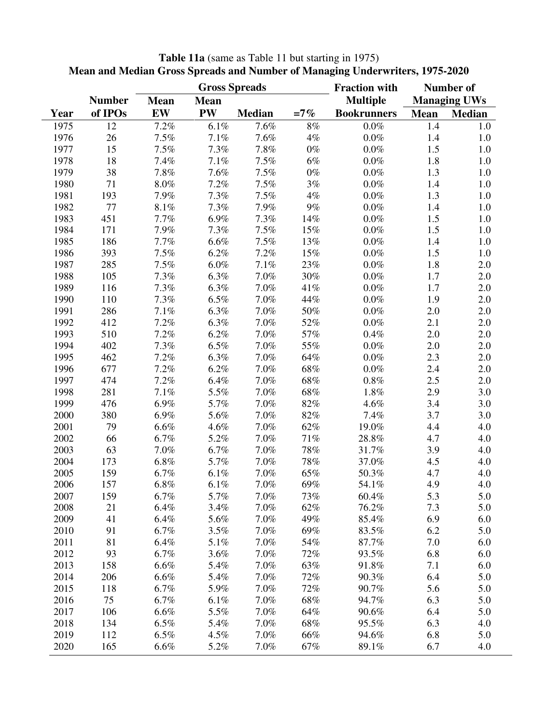|      |               |             |             | <b>Gross Spreads</b> |        | <b>Fraction with</b> |             | <b>Number of</b>    |
|------|---------------|-------------|-------------|----------------------|--------|----------------------|-------------|---------------------|
|      | <b>Number</b> | <b>Mean</b> | <b>Mean</b> |                      |        | <b>Multiple</b>      |             | <b>Managing UWs</b> |
| Year | of IPOs       | EW          | <b>PW</b>   | <b>Median</b>        | $=7%$  | <b>Bookrunners</b>   | <b>Mean</b> | <b>Median</b>       |
| 1975 | 12            | 7.2%        | $6.1\%$     | 7.6%                 | $8\%$  | $0.0\%$              | 1.4         | 1.0                 |
| 1976 | 26            | 7.5%        | 7.1%        | 7.6%                 | 4%     | $0.0\%$              | 1.4         | 1.0                 |
| 1977 | 15            | 7.5%        | 7.3%        | 7.8%                 | $0\%$  | $0.0\%$              | 1.5         | 1.0                 |
| 1978 | 18            | 7.4%        | 7.1%        | 7.5%                 | $6\%$  | $0.0\%$              | 1.8         | 1.0                 |
| 1979 | 38            | 7.8%        | 7.6%        | 7.5%                 | $0\%$  | $0.0\%$              | 1.3         | 1.0                 |
| 1980 | 71            | $8.0\%$     | 7.2%        | 7.5%                 | 3%     | $0.0\%$              | 1.4         | 1.0                 |
| 1981 | 193           | 7.9%        | 7.3%        | 7.5%                 | 4%     | $0.0\%$              | 1.3         | 1.0                 |
| 1982 | 77            | 8.1%        | 7.3%        | 7.9%                 | 9%     | $0.0\%$              | 1.4         | 1.0                 |
| 1983 | 451           | 7.7%        | 6.9%        | 7.3%                 | 14%    | $0.0\%$              | 1.5         | 1.0                 |
| 1984 | 171           | 7.9%        | 7.3%        | 7.5%                 | 15%    | $0.0\%$              | 1.5         | 1.0                 |
| 1985 | 186           | 7.7%        | 6.6%        | 7.5%                 | 13%    | $0.0\%$              | 1.4         | 1.0                 |
| 1986 | 393           | 7.5%        | 6.2%        | 7.2%                 | 15%    | $0.0\%$              | 1.5         | 1.0                 |
| 1987 | 285           | 7.5%        | $6.0\%$     | 7.1%                 | 23%    | $0.0\%$              | 1.8         | 2.0                 |
| 1988 | 105           | 7.3%        | 6.3%        | 7.0%                 | 30%    | $0.0\%$              | 1.7         | 2.0                 |
| 1989 | 116           | 7.3%        | 6.3%        | 7.0%                 | 41%    | $0.0\%$              | $1.7$       | 2.0                 |
| 1990 | 110           | 7.3%        | 6.5%        | 7.0%                 | 44%    | $0.0\%$              | 1.9         | 2.0                 |
| 1991 | 286           | 7.1%        | 6.3%        | 7.0%                 | 50%    | $0.0\%$              | 2.0         | 2.0                 |
| 1992 | 412           | 7.2%        | 6.3%        | 7.0%                 | 52%    | $0.0\%$              | 2.1         | 2.0                 |
| 1993 | 510           | 7.2%        | 6.2%        | 7.0%                 | 57%    | 0.4%                 | 2.0         | 2.0                 |
| 1994 | 402           | 7.3%        | $6.5\%$     | 7.0%                 | 55%    | $0.0\%$              | 2.0         | 2.0                 |
| 1995 | 462           | 7.2%        | 6.3%        | 7.0%                 | 64%    | $0.0\%$              | 2.3         | 2.0                 |
| 1996 | 677           | 7.2%        | 6.2%        | 7.0%                 | 68%    | $0.0\%$              | 2.4         | 2.0                 |
| 1997 | 474           | 7.2%        | 6.4%        | 7.0%                 | 68%    | $0.8\%$              | 2.5         | 2.0                 |
| 1998 | 281           | 7.1%        | 5.5%        | 7.0%                 | 68%    | 1.8%                 | 2.9         | 3.0                 |
| 1999 | 476           | 6.9%        | 5.7%        | 7.0%                 | 82%    | 4.6%                 | 3.4         | 3.0                 |
| 2000 | 380           | 6.9%        | 5.6%        | 7.0%                 | 82%    | 7.4%                 | 3.7         | 3.0                 |
| 2001 | 79            | 6.6%        | 4.6%        | 7.0%                 | 62%    | 19.0%                | 4.4         | 4.0                 |
| 2002 | 66            | 6.7%        | 5.2%        | 7.0%                 | $71\%$ | 28.8%                | 4.7         | 4.0                 |
| 2003 | 63            | 7.0%        | 6.7%        | 7.0%                 | $78\%$ | 31.7%                | 3.9         | 4.0                 |
| 2004 | 173           | 6.8%        | 5.7%        | 7.0%                 | 78%    | 37.0%                | 4.5         | 4.0                 |
| 2005 | 159           | 6.7%        | $6.1\%$     | 7.0%                 | 65%    | 50.3%                | 4.7         | 4.0                 |
| 2006 | 157           | 6.8%        | 6.1%        | 7.0%                 | 69%    | 54.1%                | 4.9         | 4.0                 |
| 2007 | 159           | 6.7%        | 5.7%        | 7.0%                 | 73%    | 60.4%                | 5.3         | 5.0                 |
| 2008 | 21            | 6.4%        | 3.4%        | 7.0%                 | 62%    | 76.2%                | 7.3         | 5.0                 |
| 2009 | 41            | 6.4%        | 5.6%        | 7.0%                 | 49%    | 85.4%                | 6.9         | 6.0                 |
| 2010 | 91            | 6.7%        | 3.5%        | 7.0%                 | 69%    | 83.5%                | 6.2         | 5.0                 |
| 2011 | 81            | 6.4%        | 5.1%        | 7.0%                 | 54%    | 87.7%                | 7.0         | 6.0                 |
| 2012 | 93            | 6.7%        | 3.6%        | 7.0%                 | 72%    | 93.5%                | 6.8         | 6.0                 |
| 2013 | 158           | 6.6%        | 5.4%        | 7.0%                 | 63%    | 91.8%                | 7.1         | 6.0                 |
| 2014 | 206           | 6.6%        | 5.4%        | 7.0%                 | 72%    | 90.3%                | 6.4         | 5.0                 |
| 2015 | 118           | 6.7%        | 5.9%        | 7.0%                 | $72\%$ | 90.7%                | 5.6         | 5.0                 |
| 2016 | 75            | 6.7%        | 6.1%        | 7.0%                 | 68%    | 94.7%                | 6.3         | 5.0                 |
| 2017 | 106           | 6.6%        | 5.5%        | 7.0%                 | 64%    | 90.6%                | 6.4         | 5.0                 |
| 2018 | 134           | 6.5%        | 5.4%        | 7.0%                 | 68%    | 95.5%                | 6.3         | 4.0                 |
| 2019 | 112           | 6.5%        | 4.5%        | 7.0%                 | 66%    | 94.6%                | 6.8         | 5.0                 |
| 2020 | 165           | 6.6%        | 5.2%        | 7.0%                 | 67%    | 89.1%                | 6.7         | 4.0                 |

#### **Table 11a** (same as Table 11 but starting in 1975) **Mean and Median Gross Spreads and Number of Managing Underwriters, 1975-2020**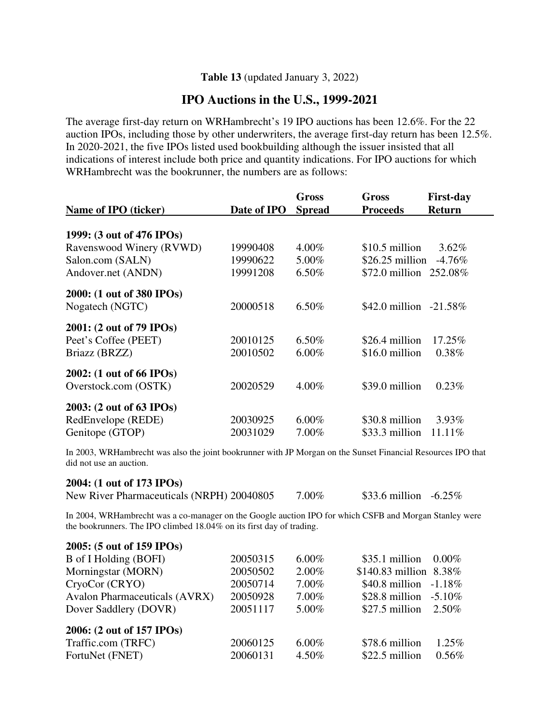#### **Table 13** (updated January 3, 2022)

# **IPO Auctions in the U.S., 1999-2021**

The average first-day return on WRHambrecht's 19 IPO auctions has been 12.6%. For the 22 auction IPOs, including those by other underwriters, the average first-day return has been 12.5%. In 2020-2021, the five IPOs listed used bookbuilding although the issuer insisted that all indications of interest include both price and quantity indications. For IPO auctions for which WRHambrecht was the bookrunner, the numbers are as follows:

|                           |             | Gross         | <b>First-day</b><br>Gross        |
|---------------------------|-------------|---------------|----------------------------------|
| Name of IPO (ticker)      | Date of IPO | <b>Spread</b> | <b>Return</b><br><b>Proceeds</b> |
|                           |             |               |                                  |
| 1999: (3 out of 476 IPOs) |             |               |                                  |
| Ravenswood Winery (RVWD)  | 19990408    | 4.00%         | $$10.5$ million<br>$3.62\%$      |
| Salon.com (SALN)          | 19990622    | 5.00%         | $$26.25$ million<br>$-4.76%$     |
| Andover.net (ANDN)        | 19991208    | 6.50%         | \$72.0 million 252.08%           |
| 2000: (1 out of 380 IPOs) |             |               |                                  |
| Nogatech (NGTC)           | 20000518    | $6.50\%$      | \$42.0 million $-21.58\%$        |
| 2001: (2 out of 79 IPOs)  |             |               |                                  |
| Peet's Coffee (PEET)      | 20010125    | $6.50\%$      | \$26.4 million<br>17.25%         |
| Briazz (BRZZ)             | 20010502    | $6.00\%$      | $0.38\%$<br>\$16.0 million       |
| 2002: (1 out of 66 IPOs)  |             |               |                                  |
| Overstock.com (OSTK)      | 20020529    | 4.00%         | \$39.0 million<br>0.23%          |
| 2003: (2 out of 63 IPOs)  |             |               |                                  |
| RedEnvelope (REDE)        | 20030925    | $6.00\%$      | \$30.8 million<br>$3.93\%$       |
| Genitope (GTOP)           | 20031029    | 7.00%         | \$33.3 million<br>11.11%         |

In 2003, WRHambrecht was also the joint bookrunner with JP Morgan on the Sunset Financial Resources IPO that did not use an auction.

#### **2004: (1 out of 173 IPOs)**

| New River Pharmaceuticals (NRPH) 20040805 | $7.00\%$ | \$33.6 million $-6.25\%$ |  |
|-------------------------------------------|----------|--------------------------|--|
|-------------------------------------------|----------|--------------------------|--|

In 2004, WRHambrecht was a co-manager on the Google auction IPO for which CSFB and Morgan Stanley were the bookrunners. The IPO climbed 18.04% on its first day of trading.

| 2005: (5 out of 159 IPOs)            |          |          |                             |
|--------------------------------------|----------|----------|-----------------------------|
| B of I Holding (BOFI)                | 20050315 | $6.00\%$ | $$35.1$ million<br>$0.00\%$ |
| Morningstar (MORN)                   | 20050502 | $2.00\%$ | \$140.83 million 8.38%      |
| CryoCor (CRYO)                       | 20050714 | $7.00\%$ | \$40.8 million $-1.18\%$    |
| <b>Avalon Pharmaceuticals (AVRX)</b> | 20050928 | $7.00\%$ | \$28.8 million $-5.10\%$    |
| Dover Saddlery (DOVR)                | 20051117 | 5.00%    | $$27.5$ million<br>2.50%    |
| 2006: (2 out of 157 IPOs)            |          |          |                             |
| Traffic.com (TRFC)                   | 20060125 | $6.00\%$ | $1.25\%$<br>\$78.6 million  |
| FortuNet (FNET)                      | 20060131 | 4.50%    | $0.56\%$<br>\$22.5 million  |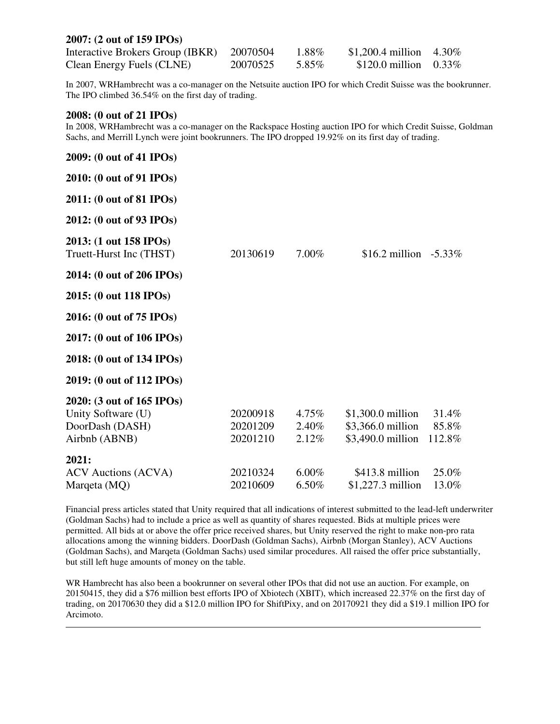| 2007: (2 out of 159 IPOs)        |          |       |                            |  |
|----------------------------------|----------|-------|----------------------------|--|
| Interactive Brokers Group (IBKR) | 20070504 | 1.88% | \$1,200.4 million $4.30\%$ |  |
| Clean Energy Fuels (CLNE)        | 20070525 | 5.85% | \$120.0 million $0.33\%$   |  |

In 2007, WRHambrecht was a co-manager on the Netsuite auction IPO for which Credit Suisse was the bookrunner. The IPO climbed 36.54% on the first day of trading.

#### **2008: (0 out of 21 IPOs)**

 $\overline{a}$ 

In 2008, WRHambrecht was a co-manager on the Rackspace Hosting auction IPO for which Credit Suisse, Goldman Sachs, and Merrill Lynch were joint bookrunners. The IPO dropped 19.92% on its first day of trading.

| 2009: (0 out of 41 IPOs)                                                            |                                  |                               |                                                                                          |
|-------------------------------------------------------------------------------------|----------------------------------|-------------------------------|------------------------------------------------------------------------------------------|
| 2010: (0 out of 91 IPOs)                                                            |                                  |                               |                                                                                          |
| 2011: (0 out of 81 IPOs)                                                            |                                  |                               |                                                                                          |
| 2012: (0 out of 93 IPOs)                                                            |                                  |                               |                                                                                          |
| 2013: (1 out 158 IPOs)<br>Truett-Hurst Inc (THST)                                   | 20130619                         | $7.00\%$                      | \$16.2 million $-5.33\%$                                                                 |
| 2014: (0 out of 206 IPOs)                                                           |                                  |                               |                                                                                          |
| 2015: (0 out 118 IPOs)                                                              |                                  |                               |                                                                                          |
| 2016: (0 out of 75 IPOs)                                                            |                                  |                               |                                                                                          |
| 2017: (0 out of 106 IPOs)                                                           |                                  |                               |                                                                                          |
| 2018: (0 out of 134 IPOs)                                                           |                                  |                               |                                                                                          |
| 2019: (0 out of 112 IPOs)                                                           |                                  |                               |                                                                                          |
| 2020: (3 out of 165 IPOs)<br>Unity Software (U)<br>DoorDash (DASH)<br>Airbnb (ABNB) | 20200918<br>20201209<br>20201210 | $4.75\%$<br>$2.40\%$<br>2.12% | $$1,300.0$ million<br>31.4%<br>\$3,366.0 million<br>85.8%<br>\$3,490.0 million<br>112.8% |
| 2021:<br><b>ACV</b> Auctions (ACVA)<br>Marqeta (MQ)                                 | 20210324<br>20210609             | $6.00\%$<br>6.50%             | \$413.8 million<br>25.0%<br>\$1,227.3 million<br>13.0%                                   |

Financial press articles stated that Unity required that all indications of interest submitted to the lead-left underwriter (Goldman Sachs) had to include a price as well as quantity of shares requested. Bids at multiple prices were permitted. All bids at or above the offer price received shares, but Unity reserved the right to make non-pro rata allocations among the winning bidders. DoorDash (Goldman Sachs), Airbnb (Morgan Stanley), ACV Auctions (Goldman Sachs), and Marqeta (Goldman Sachs) used similar procedures. All raised the offer price substantially, but still left huge amounts of money on the table.

WR Hambrecht has also been a bookrunner on several other IPOs that did not use an auction. For example, on 20150415, they did a \$76 million best efforts IPO of Xbiotech (XBIT), which increased 22.37% on the first day of trading, on 20170630 they did a \$12.0 million IPO for ShiftPixy, and on 20170921 they did a \$19.1 million IPO for Arcimoto.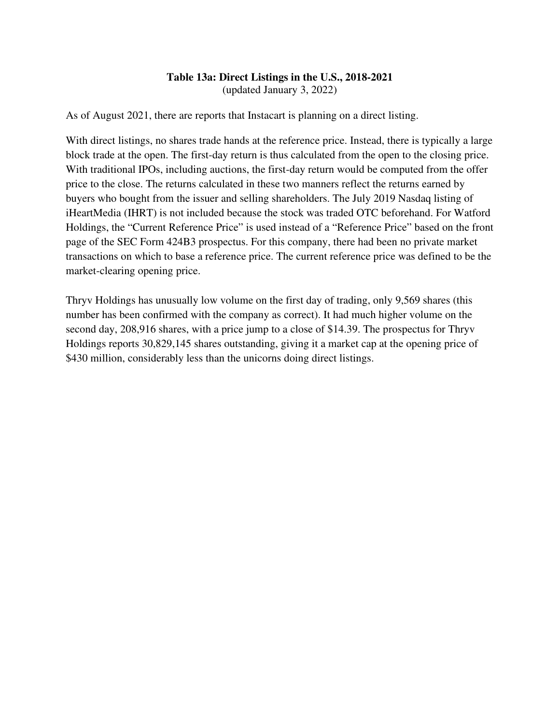# **Table 13a: Direct Listings in the U.S., 2018-2021**

(updated January 3, 2022)

As of August 2021, there are reports that Instacart is planning on a direct listing.

With direct listings, no shares trade hands at the reference price. Instead, there is typically a large block trade at the open. The first-day return is thus calculated from the open to the closing price. With traditional IPOs, including auctions, the first-day return would be computed from the offer price to the close. The returns calculated in these two manners reflect the returns earned by buyers who bought from the issuer and selling shareholders. The July 2019 Nasdaq listing of iHeartMedia (IHRT) is not included because the stock was traded OTC beforehand. For Watford Holdings, the "Current Reference Price" is used instead of a "Reference Price" based on the front page of the SEC Form 424B3 prospectus. For this company, there had been no private market transactions on which to base a reference price. The current reference price was defined to be the market-clearing opening price.

Thryv Holdings has unusually low volume on the first day of trading, only 9,569 shares (this number has been confirmed with the company as correct). It had much higher volume on the second day, 208,916 shares, with a price jump to a close of \$14.39. The prospectus for Thryv Holdings reports 30,829,145 shares outstanding, giving it a market cap at the opening price of \$430 million, considerably less than the unicorns doing direct listings.